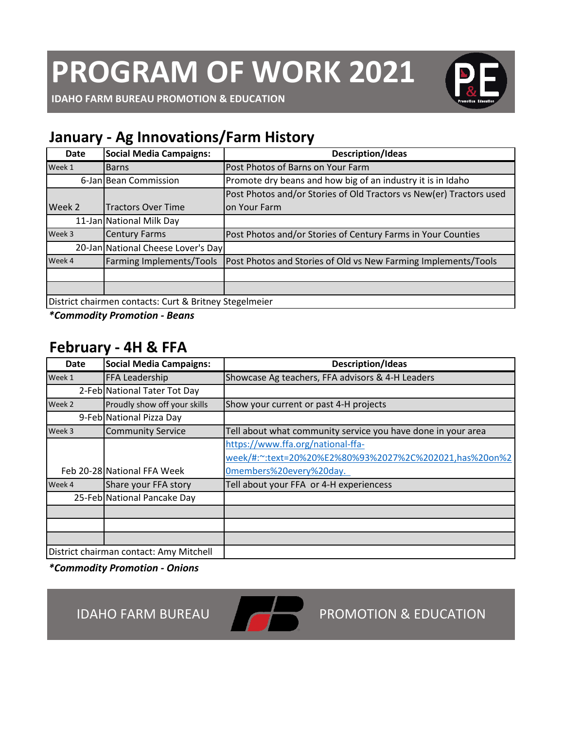**IDAHO FARM BUREAU PROMOTION & EDUCATION** 

### **January - Ag Innovations/Farm History**

| <b>Date</b>                                            | <b>Social Media Campaigns:</b>     | <b>Description/Ideas</b>                                            |
|--------------------------------------------------------|------------------------------------|---------------------------------------------------------------------|
| Week 1                                                 | Barns                              | Post Photos of Barns on Your Farm                                   |
|                                                        | 6-Jan Bean Commission              | Promote dry beans and how big of an industry it is in Idaho         |
|                                                        |                                    | Post Photos and/or Stories of Old Tractors vs New(er) Tractors used |
| Week 2                                                 | <b>Tractors Over Time</b>          | on Your Farm                                                        |
|                                                        | 11-Jan National Milk Day           |                                                                     |
| Week 3                                                 | <b>Century Farms</b>               | Post Photos and/or Stories of Century Farms in Your Counties        |
|                                                        | 20-Jan National Cheese Lover's Day |                                                                     |
| Week 4                                                 | <b>Farming Implements/Tools</b>    | Post Photos and Stories of Old vs New Farming Implements/Tools      |
|                                                        |                                    |                                                                     |
|                                                        |                                    |                                                                     |
| District chairmen contacts: Curt & Britney Stegelmeier |                                    |                                                                     |

*\*Commodity Promotion - Beans*

#### **February - 4H & FFA**

| <b>Date</b> | <b>Social Media Campaigns:</b>          | <b>Description/Ideas</b>                                     |
|-------------|-----------------------------------------|--------------------------------------------------------------|
| Week 1      | <b>FFA Leadership</b>                   | Showcase Ag teachers, FFA advisors & 4-H Leaders             |
|             | 2-Feb National Tater Tot Day            |                                                              |
| Week 2      | Proudly show off your skills            | Show your current or past 4-H projects                       |
|             | 9-Feb National Pizza Day                |                                                              |
| Week 3      | <b>Community Service</b>                | Tell about what community service you have done in your area |
|             |                                         | https://www.ffa.org/national-ffa-                            |
|             |                                         | week/#:~:text=20%20%E2%80%93%2027%2C%202021,has%20on%2       |
|             | Feb 20-28 National FFA Week             | Omembers%20every%20day.                                      |
| Week 4      | Share your FFA story                    | Tell about your FFA or 4-H experiencess                      |
|             | 25-Feb National Pancake Day             |                                                              |
|             |                                         |                                                              |
|             |                                         |                                                              |
|             |                                         |                                                              |
|             | District chairman contact: Amy Mitchell |                                                              |

*\*Commodity Promotion - Onions*

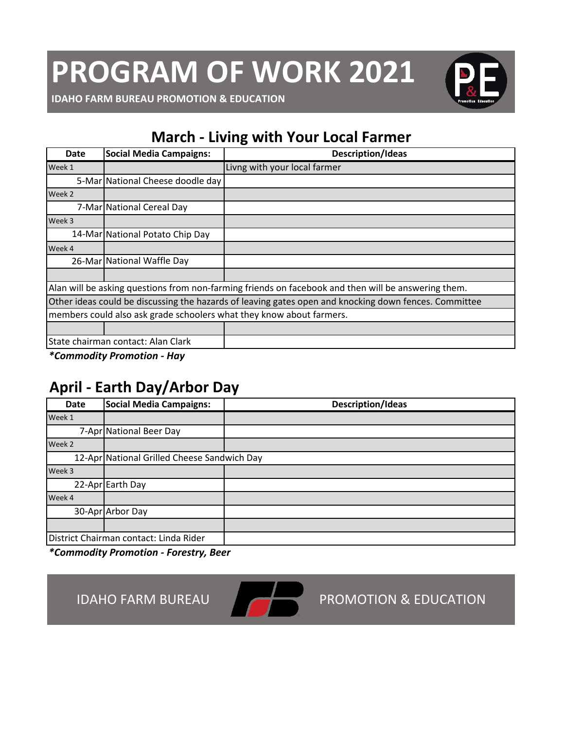**IDAHO FARM BUREAU PROMOTION & EDUCATION** 



### **March - Living with Your Local Farmer**

| Date   | <b>Social Media Campaigns:</b>     | <b>Description/Ideas</b>                                                                              |
|--------|------------------------------------|-------------------------------------------------------------------------------------------------------|
| Week 1 |                                    | Livng with your local farmer                                                                          |
|        | 5-Mar National Cheese doodle day   |                                                                                                       |
| Week 2 |                                    |                                                                                                       |
|        | 7-Mar National Cereal Day          |                                                                                                       |
| Week 3 |                                    |                                                                                                       |
|        | 14-Mar National Potato Chip Day    |                                                                                                       |
| Week 4 |                                    |                                                                                                       |
|        | 26-Mar National Waffle Day         |                                                                                                       |
|        |                                    |                                                                                                       |
|        |                                    | Alan will be asking questions from non-farming friends on facebook and then will be answering them.   |
|        |                                    | Other ideas could be discussing the hazards of leaving gates open and knocking down fences. Committee |
|        |                                    | members could also ask grade schoolers what they know about farmers.                                  |
|        |                                    |                                                                                                       |
|        | State chairman contact: Alan Clark |                                                                                                       |

*\*Commodity Promotion - Hay*

### **April - Earth Day/Arbor Day**

| Date   | <b>Social Media Campaigns:</b>              | <b>Description/Ideas</b> |
|--------|---------------------------------------------|--------------------------|
| Week 1 |                                             |                          |
|        | 7-Apr National Beer Day                     |                          |
| Week 2 |                                             |                          |
|        | 12-Apr National Grilled Cheese Sandwich Day |                          |
| Week 3 |                                             |                          |
|        | 22-Apr Earth Day                            |                          |
| Week 4 |                                             |                          |
|        | 30-Apr Arbor Day                            |                          |
|        |                                             |                          |
|        | District Chairman contact: Linda Rider      |                          |

*\*Commodity Promotion - Forestry, Beer*

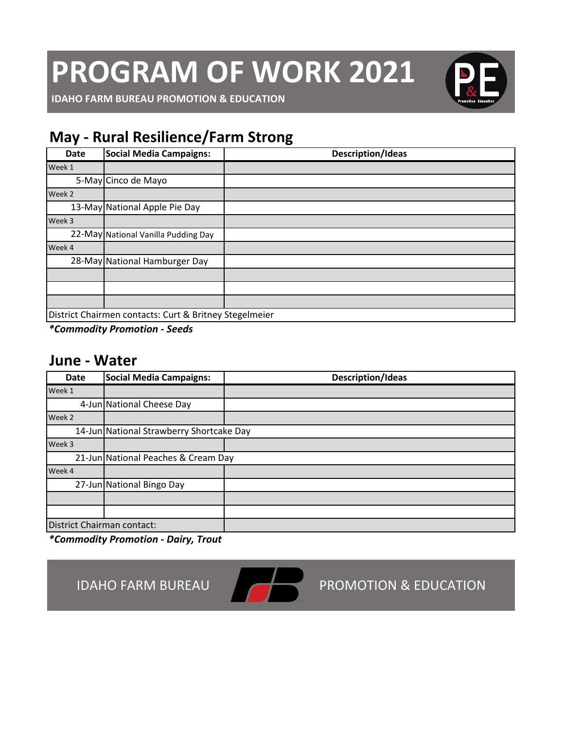**IDAHO FARM BUREAU PROMOTION & EDUCATION** 

### **May - Rural Resilience/Farm Strong**

| <b>Date</b> | <b>Social Media Campaigns:</b>                         | <b>Description/Ideas</b> |
|-------------|--------------------------------------------------------|--------------------------|
| Week 1      |                                                        |                          |
|             | 5-May Cinco de Mayo                                    |                          |
| Week 2      |                                                        |                          |
|             | 13-May National Apple Pie Day                          |                          |
| Week 3      |                                                        |                          |
|             | 22-May National Vanilla Pudding Day                    |                          |
| Week 4      |                                                        |                          |
|             | 28-May National Hamburger Day                          |                          |
|             |                                                        |                          |
|             |                                                        |                          |
|             |                                                        |                          |
|             | District Chairmen contacts: Curt & Britney Stegelmeier |                          |

*\*Commodity Promotion - Seeds*

#### **June - Water**

| <b>Date</b>                | Social Media Campaigns:                  | <b>Description/Ideas</b> |
|----------------------------|------------------------------------------|--------------------------|
| Week 1                     |                                          |                          |
|                            | 4-Jun National Cheese Day                |                          |
| Week 2                     |                                          |                          |
|                            | 14-Jun National Strawberry Shortcake Day |                          |
| Week 3                     |                                          |                          |
|                            | 21-Jun National Peaches & Cream Day      |                          |
| Week 4                     |                                          |                          |
|                            | 27-Jun National Bingo Day                |                          |
|                            |                                          |                          |
|                            |                                          |                          |
| District Chairman contact: |                                          |                          |

*\*Commodity Promotion - Dairy, Trout*

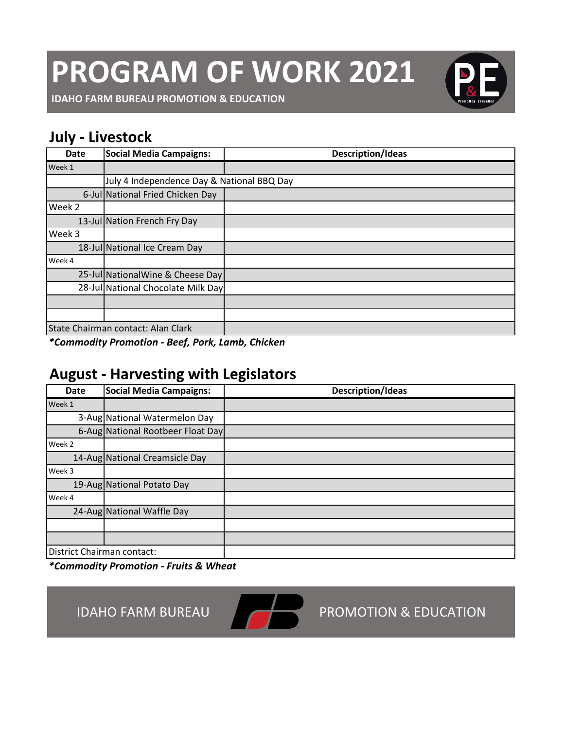**IDAHO FARM BUREAU PROMOTION & EDUCATION** 

### **July - Livestock**

| Date   | <b>Social Media Campaigns:</b>             | <b>Description/Ideas</b> |
|--------|--------------------------------------------|--------------------------|
| Week 1 |                                            |                          |
|        | July 4 Independence Day & National BBQ Day |                          |
|        | 6-Jul National Fried Chicken Day           |                          |
| Week 2 |                                            |                          |
|        | 13-Jul Nation French Fry Day               |                          |
| Week 3 |                                            |                          |
|        | 18-Jul National Ice Cream Day              |                          |
| Week 4 |                                            |                          |
|        | 25-Jul National Wine & Cheese Day          |                          |
|        | 28-Jul National Chocolate Milk Day         |                          |
|        |                                            |                          |
|        |                                            |                          |
|        | State Chairman contact: Alan Clark         |                          |

*\*Commodity Promotion - Beef, Pork, Lamb, Chicken*

### **August - Harvesting with Legislators**

| <b>Date</b>                | <b>Social Media Campaigns:</b>    | <b>Description/Ideas</b> |
|----------------------------|-----------------------------------|--------------------------|
| Week 1                     |                                   |                          |
|                            | 3-Aug National Watermelon Day     |                          |
|                            | 6-Aug National Rootbeer Float Day |                          |
| Week 2                     |                                   |                          |
|                            | 14-Aug National Creamsicle Day    |                          |
| Week 3                     |                                   |                          |
|                            | 19-Aug National Potato Day        |                          |
| Week 4                     |                                   |                          |
|                            | 24-Aug National Waffle Day        |                          |
|                            |                                   |                          |
|                            |                                   |                          |
| District Chairman contact: |                                   |                          |

*\*Commodity Promotion - Fruits & Wheat*

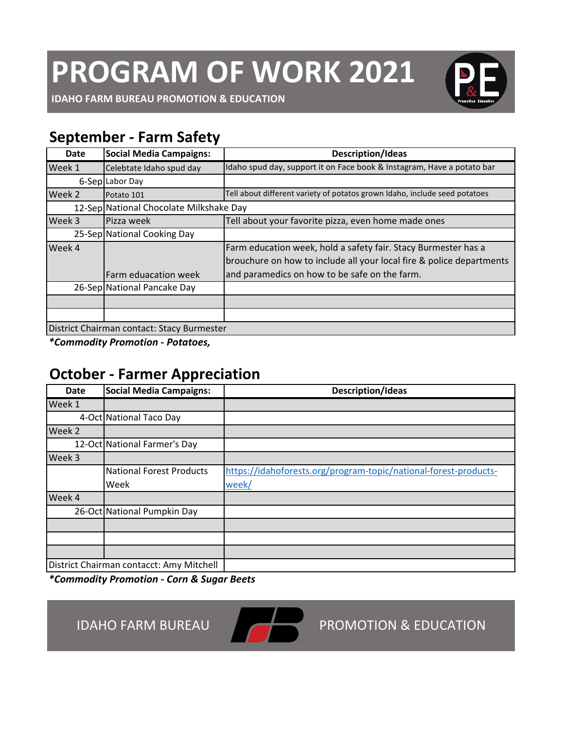**IDAHO FARM BUREAU PROMOTION & EDUCATION** 

### **September - Farm Safety**

| Date   | <b>Social Media Campaigns:</b>             | <b>Description/Ideas</b>                                                   |
|--------|--------------------------------------------|----------------------------------------------------------------------------|
| Week 1 | Celebtate Idaho spud day                   | Idaho spud day, support it on Face book & Instagram, Have a potato bar     |
|        | 6-Sep Labor Day                            |                                                                            |
| Week 2 | Potato 101                                 | Tell about different variety of potatos grown Idaho, include seed potatoes |
|        | 12-Sep National Chocolate Milkshake Day    |                                                                            |
| Week 3 | Pizza week                                 | Tell about your favorite pizza, even home made ones                        |
|        | 25-Sep National Cooking Day                |                                                                            |
| Week 4 |                                            | Farm education week, hold a safety fair. Stacy Burmester has a             |
|        |                                            | brouchure on how to include all your local fire & police departments       |
|        | Farm eduacation week                       | and paramedics on how to be safe on the farm.                              |
|        | 26-Sep National Pancake Day                |                                                                            |
|        |                                            |                                                                            |
|        |                                            |                                                                            |
|        | District Chairman contact: Stacy Burmester |                                                                            |

*\*Commodity Promotion - Potatoes,* 

### **October - Farmer Appreciation**

| <b>Date</b> | Social Media Campaigns:                  | <b>Description/Ideas</b>                                         |
|-------------|------------------------------------------|------------------------------------------------------------------|
| Week 1      |                                          |                                                                  |
|             | 4-Oct National Taco Day                  |                                                                  |
| Week 2      |                                          |                                                                  |
|             | 12-Oct National Farmer's Day             |                                                                  |
| Week 3      |                                          |                                                                  |
|             | <b>National Forest Products</b>          | https://idahoforests.org/program-topic/national-forest-products- |
|             | Week                                     | week/                                                            |
| Week 4      |                                          |                                                                  |
|             | 26-Oct National Pumpkin Day              |                                                                  |
|             |                                          |                                                                  |
|             |                                          |                                                                  |
|             |                                          |                                                                  |
|             | District Chairman contacct: Amy Mitchell |                                                                  |

*\*Commodity Promotion - Corn & Sugar Beets*